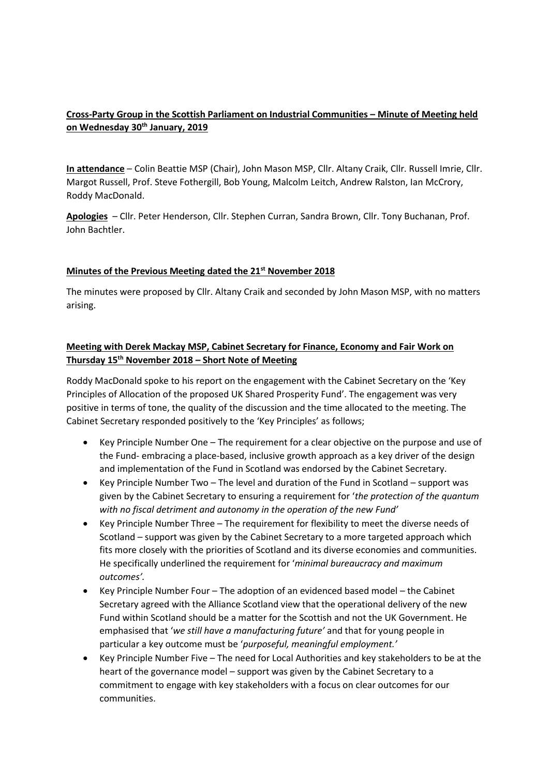# **Cross-Party Group in the Scottish Parliament on Industrial Communities – Minute of Meeting held on Wednesday 30th January, 2019**

**In attendance** – Colin Beattie MSP (Chair), John Mason MSP, Cllr. Altany Craik, Cllr. Russell Imrie, Cllr. Margot Russell, Prof. Steve Fothergill, Bob Young, Malcolm Leitch, Andrew Ralston, Ian McCrory, Roddy MacDonald.

**Apologies** – Cllr. Peter Henderson, Cllr. Stephen Curran, Sandra Brown, Cllr. Tony Buchanan, Prof. John Bachtler.

### **Minutes of the Previous Meeting dated the 21st November 2018**

The minutes were proposed by Cllr. Altany Craik and seconded by John Mason MSP, with no matters arising.

### **Meeting with Derek Mackay MSP, Cabinet Secretary for Finance, Economy and Fair Work on Thursday 15th November 2018 – Short Note of Meeting**

Roddy MacDonald spoke to his report on the engagement with the Cabinet Secretary on the 'Key Principles of Allocation of the proposed UK Shared Prosperity Fund'. The engagement was very positive in terms of tone, the quality of the discussion and the time allocated to the meeting. The Cabinet Secretary responded positively to the 'Key Principles' as follows;

- Key Principle Number One The requirement for a clear objective on the purpose and use of the Fund- embracing a place-based, inclusive growth approach as a key driver of the design and implementation of the Fund in Scotland was endorsed by the Cabinet Secretary.
- Key Principle Number Two The level and duration of the Fund in Scotland support was given by the Cabinet Secretary to ensuring a requirement for '*the protection of the quantum with no fiscal detriment and autonomy in the operation of the new Fund'*
- Key Principle Number Three The requirement for flexibility to meet the diverse needs of Scotland – support was given by the Cabinet Secretary to a more targeted approach which fits more closely with the priorities of Scotland and its diverse economies and communities. He specifically underlined the requirement for '*minimal bureaucracy and maximum outcomes'.*
- Key Principle Number Four The adoption of an evidenced based model the Cabinet Secretary agreed with the Alliance Scotland view that the operational delivery of the new Fund within Scotland should be a matter for the Scottish and not the UK Government. He emphasised that '*we still have a manufacturing future'* and that for young people in particular a key outcome must be '*purposeful, meaningful employment.'*
- Key Principle Number Five The need for Local Authorities and key stakeholders to be at the heart of the governance model – support was given by the Cabinet Secretary to a commitment to engage with key stakeholders with a focus on clear outcomes for our communities.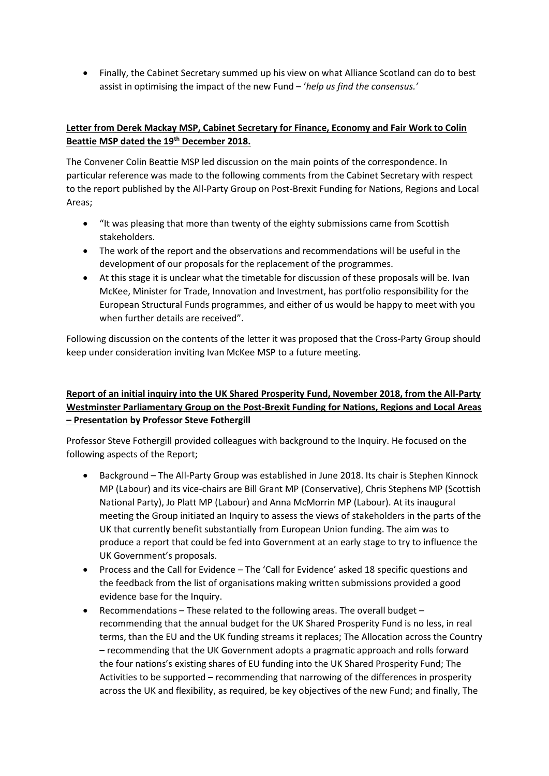• Finally, the Cabinet Secretary summed up his view on what Alliance Scotland can do to best assist in optimising the impact of the new Fund – '*help us find the consensus.'*

# **Letter from Derek Mackay MSP, Cabinet Secretary for Finance, Economy and Fair Work to Colin Beattie MSP dated the 19th December 2018.**

The Convener Colin Beattie MSP led discussion on the main points of the correspondence. In particular reference was made to the following comments from the Cabinet Secretary with respect to the report published by the All-Party Group on Post-Brexit Funding for Nations, Regions and Local Areas;

- "It was pleasing that more than twenty of the eighty submissions came from Scottish stakeholders.
- The work of the report and the observations and recommendations will be useful in the development of our proposals for the replacement of the programmes.
- At this stage it is unclear what the timetable for discussion of these proposals will be. Ivan McKee, Minister for Trade, Innovation and Investment, has portfolio responsibility for the European Structural Funds programmes, and either of us would be happy to meet with you when further details are received".

Following discussion on the contents of the letter it was proposed that the Cross-Party Group should keep under consideration inviting Ivan McKee MSP to a future meeting.

# **Report of an initial inquiry into the UK Shared Prosperity Fund, November 2018, from the All-Party Westminster Parliamentary Group on the Post-Brexit Funding for Nations, Regions and Local Areas – Presentation by Professor Steve Fothergill**

Professor Steve Fothergill provided colleagues with background to the Inquiry. He focused on the following aspects of the Report;

- Background The All-Party Group was established in June 2018. Its chair is Stephen Kinnock MP (Labour) and its vice-chairs are Bill Grant MP (Conservative), Chris Stephens MP (Scottish National Party), Jo Platt MP (Labour) and Anna McMorrin MP (Labour). At its inaugural meeting the Group initiated an Inquiry to assess the views of stakeholders in the parts of the UK that currently benefit substantially from European Union funding. The aim was to produce a report that could be fed into Government at an early stage to try to influence the UK Government's proposals.
- Process and the Call for Evidence The 'Call for Evidence' asked 18 specific questions and the feedback from the list of organisations making written submissions provided a good evidence base for the Inquiry.
- Recommendations These related to the following areas. The overall budget recommending that the annual budget for the UK Shared Prosperity Fund is no less, in real terms, than the EU and the UK funding streams it replaces; The Allocation across the Country – recommending that the UK Government adopts a pragmatic approach and rolls forward the four nations's existing shares of EU funding into the UK Shared Prosperity Fund; The Activities to be supported – recommending that narrowing of the differences in prosperity across the UK and flexibility, as required, be key objectives of the new Fund; and finally, The